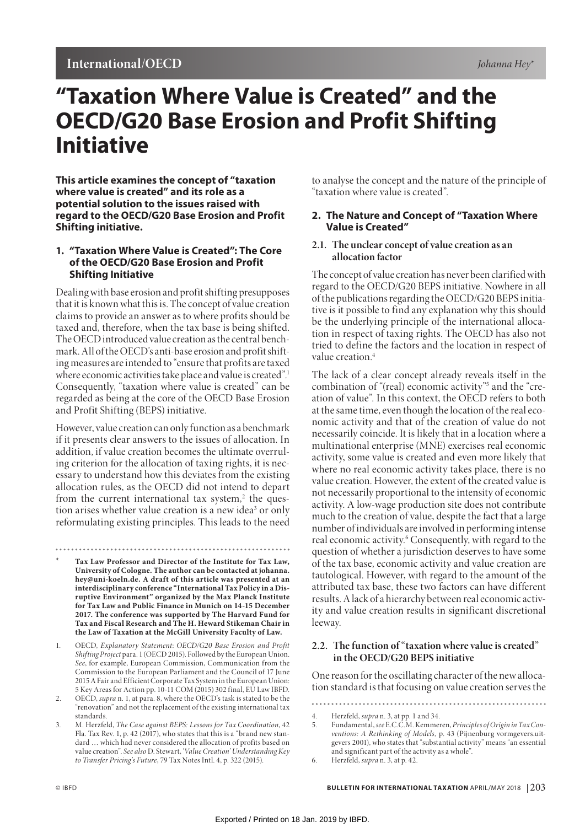# **International/OECD** *Johanna Hey*\*

# **"Taxation Where Value is Created" and the OECD/G20 Base Erosion and Profit Shifting Initiative**

**This article examines the concept of "taxation where value is created" and its role as a potential solution to the issues raised with regard to the OECD/G20 Base Erosion and Profit Shifting initiative.**

## **1. "Taxation Where Value is Created": The Core of the OECD/G20 Base Erosion and Profit Shifting Initiative**

Dealing with base erosion and profit shifting presupposes that it is known what this is. The concept of value creation claims to provide an answer as to where profits should be taxed and, therefore, when the tax base is being shifted. The OECD introduced value creation as the central benchmark. All of the OECD's anti-base erosion and profit shifting measures are intended to "ensure that profits are taxed where economic activities take place and value is created".<sup>1</sup> Consequently, "taxation where value is created" can be regarded as being at the core of the OECD Base Erosion and Profit Shifting (BEPS) initiative.

However, value creation can only function as a benchmark if it presents clear answers to the issues of allocation. In addition, if value creation becomes the ultimate overruling criterion for the allocation of taxing rights, it is necessary to understand how this deviates from the existing allocation rules, as the OECD did not intend to depart from the current international tax system,<sup>2</sup> the question arises whether value creation is a new idea<sup>3</sup> or only reformulating existing principles. This leads to the need

- \* **Tax Law Professor and Director of the Institute for Tax Law, University of Cologne. The author can be contacted at johanna. hey@uni-koeln.de. A draft of this article was presented at an interdisciplinary conference "International Tax Policy in a Disruptive Environment" organized by the Max Planck Institute for Tax Law and Public Finance in Munich on 14-15 December 2017. The conference was supported by The Harvard Fund for Tax and Fiscal Research and The H. Heward Stikeman Chair in the Law of Taxation at the McGill University Faculty of Law.**
- 1. OECD, *Explanatory Statement*: *OECD/G20 Base Erosion and Profit Shifting Project* para. 1 (OECD 2015). Followed by the European Union. *See*, for example, European Commission, Communication from the Commission to the European Parliament and the Council of 17 June 2015 A Fair and Efficient Corporate Tax System in the European Union: 5 Key Areas for Action pp. 10-11 COM (2015) 302 final, EU Law IBFD.
- 2. OECD, *supra* n. 1, at para. 8, where the OECD's task is stated to be the "renovation" and not the replacement of the existing international tax standards.
- 3. M. Herzfeld, *The Case against BEPS: Lessons for Tax Coordination*, 42 Fla. Tax Rev. 1, p. 42 (2017), who states that this is a "brand new standard … which had never considered the allocation of profits based on value creation". *See also* D. Stewart, '*Value Creation' Understanding Key to Transfer Pricing's Future*, 79 Tax Notes Intl. 4, p. 322 (2015).

to analyse the concept and the nature of the principle of "taxation where value is created".

## **2. The Nature and Concept of "Taxation Where Value is Created"**

## **2.1. The unclear concept of value creation as an allocation factor**

The concept of value creation has never been clarified with regard to the OECD/G20 BEPS initiative. Nowhere in all of the publications regarding the OECD/G20 BEPS initiative is it possible to find any explanation why this should be the underlying principle of the international allocation in respect of taxing rights. The OECD has also not tried to define the factors and the location in respect of value creation.<sup>4</sup>

The lack of a clear concept already reveals itself in the combination of "(real) economic activity"5 and the "creation of value". In this context, the OECD refers to both at the same time, even though the location of the real economic activity and that of the creation of value do not necessarily coincide. It is likely that in a location where a multinational enterprise (MNE) exercises real economic activity, some value is created and even more likely that where no real economic activity takes place, there is no value creation. However, the extent of the created value is not necessarily proportional to the intensity of economic activity. A low-wage production site does not contribute much to the creation of value, despite the fact that a large number of individuals are involved in performing intense real economic activity.<sup>6</sup> Consequently, with regard to the question of whether a jurisdiction deserves to have some of the tax base, economic activity and value creation are tautological. However, with regard to the amount of the attributed tax base, these two factors can have different results. A lack of a hierarchy between real economic activity and value creation results in significant discretional leeway.

### **2.2. The function of "taxation where value is created" in the OECD/G20 BEPS initiative**

One reason for the oscillating character of the new allocation standard is that focusing on value creation serves the

<sup>4.</sup> Herzfeld, *supra* n. 3, at pp. 1 and 34.

<sup>5.</sup> Fundamental, *see* E.C.C.M. Kemmeren, *Principles of Origin in Tax Conventions: A Rethinking of Models,* p. 43 (Pijnenburg vormgevers.uitgevers 2001), who states that "substantial activity" means "an essential and significant part of the activity as a whole".

<sup>6.</sup> Herzfeld, *supra* n. 3, at p. 42.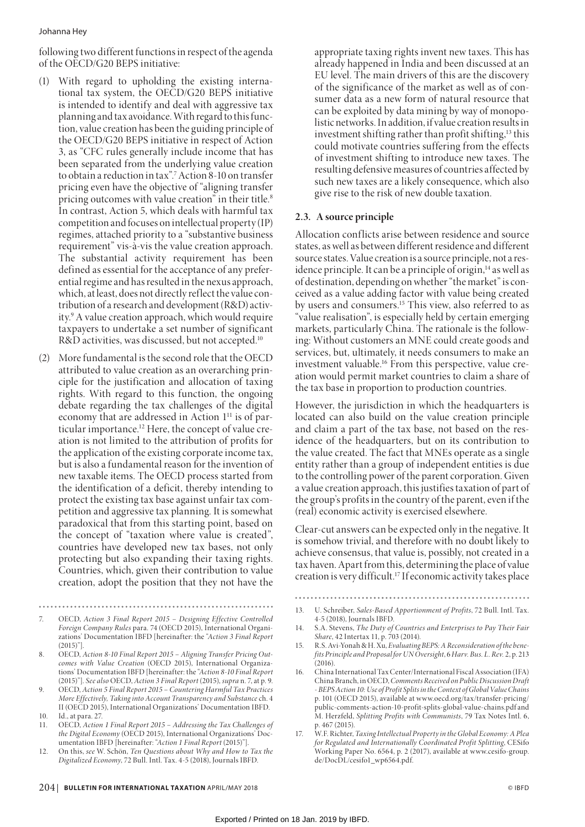#### Johanna Hey

following two different functions in respect of the agenda of the OECD/G20 BEPS initiative:

- (1) With regard to upholding the existing international tax system, the OECD/G20 BEPS initiative is intended to identify and deal with aggressive tax planning and tax avoidance. With regard to this function, value creation has been the guiding principle of the OECD/G20 BEPS initiative in respect of Action 3, as "CFC rules generally include income that has been separated from the underlying value creation to obtain a reduction in tax".7 Action 8-10 on transfer pricing even have the objective of "aligning transfer pricing outcomes with value creation" in their title.8 In contrast, Action 5, which deals with harmful tax competition and focuses on intellectual property (IP) regimes, attached priority to a "substantive business requirement" vis-à-vis the value creation approach. The substantial activity requirement has been defined as essential for the acceptance of any preferential regime and has resulted in the nexus approach, which, at least, does not directly reflect the value contribution of a research and development (R&D) activity.9 A value creation approach, which would require taxpayers to undertake a set number of significant R&D activities, was discussed, but not accepted.<sup>10</sup>
- (2) More fundamental is the second role that the OECD attributed to value creation as an overarching principle for the justification and allocation of taxing rights. With regard to this function, the ongoing debate regarding the tax challenges of the digital economy that are addressed in Action 1<sup>11</sup> is of particular importance.12 Here, the concept of value creation is not limited to the attribution of profits for the application of the existing corporate income tax, but is also a fundamental reason for the invention of new taxable items. The OECD process started from the identification of a deficit, thereby intending to protect the existing tax base against unfair tax competition and aggressive tax planning. It is somewhat paradoxical that from this starting point, based on the concept of "taxation where value is created", countries have developed new tax bases, not only protecting but also expanding their taxing rights. Countries, which, given their contribution to value creation, adopt the position that they not have the
- 7. OECD, *Action 3 Final Report 2015 Designing Effective Controlled Foreign Company Rules* para. 74 (OECD 2015), International Organizations' Documentation IBFD [hereinafter: the "*Action 3 Final Report*  $(2015)$ "]

- 8. OECD, *Action 8-10 Final Report 2015 Aligning Transfer Pricing Outcomes with Value Creation* (OECD 2015), International Organizations' Documentation IBFD [hereinafter: the "*Action 8-10 Final Report*  (2015)"]. *See also* OECD, *Action 3 Final Report* (2015), *supra* n. 7, at p. 9.
- 9. OECD, *Action 5 Final Report 2015 Countering Harmful Tax Practices More Effectively, Taking into Account Transparency and Substance* ch. 4 II (OECD 2015), International Organizations' Documentation IBFD.
- 10. Id., at para. 27.
- 11. OECD, *Action 1 Final Report 2015 Addressing the Tax Challenges of the Digital Economy* (OECD 2015), International Organizations' Documentation IBFD [hereinafter: "*Action 1 Final Report* (2015)"].
- 12. On this, *see* W. Schön, *Ten Questions about Why and How to Tax the Digitalized Economy*, 72 Bull. Intl. Tax. 4-5 (2018), Journals IBFD.

appropriate taxing rights invent new taxes. This has already happened in India and been discussed at an EU level. The main drivers of this are the discovery of the significance of the market as well as of consumer data as a new form of natural resource that can be exploited by data mining by way of monopolistic networks. In addition, if value creation results in investment shifting rather than profit shifting, $13$  this could motivate countries suffering from the effects of investment shifting to introduce new taxes. The resulting defensive measures of countries affected by such new taxes are a likely consequence, which also give rise to the risk of new double taxation.

# **2.3. A source principle**

Allocation conflicts arise between residence and source states, as well as between different residence and different source states. Value creation is a source principle, not a residence principle. It can be a principle of origin,<sup>14</sup> as well as of destination, depending on whether "the market" is conceived as a value adding factor with value being created by users and consumers.<sup>15</sup> This view, also referred to as "value realisation", is especially held by certain emerging markets, particularly China. The rationale is the following: Without customers an MNE could create goods and services, but, ultimately, it needs consumers to make an investment valuable.16 From this perspective, value creation would permit market countries to claim a share of the tax base in proportion to production countries.

However, the jurisdiction in which the headquarters is located can also build on the value creation principle and claim a part of the tax base, not based on the residence of the headquarters, but on its contribution to the value created. The fact that MNEs operate as a single entity rather than a group of independent entities is due to the controlling power of the parent corporation. Given a value creation approach, this justifies taxation of part of the group's profits in the country of the parent, even if the (real) economic activity is exercised elsewhere.

Clear-cut answers can be expected only in the negative. It is somehow trivial, and therefore with no doubt likely to achieve consensus, that value is, possibly, not created in a tax haven. Apart from this, determining the place of value creation is very difficult.17 If economic activity takes place

- 
- 13. U. Schreiber, *Sales-Based Apportionment of Profits*, 72 Bull. Intl. Tax. 4-5 (2018), Journals IBFD.
- 14. S.A. Stevens, *The Duty of Countries and Enterprises to Pay Their Fair Share*, 42 Intertax 11, p. 703 (2014).
- 15. R.S. Avi-Yonah & H. Xu, *Evaluating BEPS: A Reconsideration of the benefits Principle and Proposal for UN Oversight*, 6 *Harv. Bus. L. Rev.* 2, p. 213  $(2016)$
- 16. China International Tax Center/International Fiscal Association (IFA) China Branch, in OECD, *Comments Received on Public Discussion Draft - BEPS Action 10: Use of Profit Splits in the Context of Global Value Chains* p. 101 (OECD 2015), available at www.oecd.org/tax/transfer-pricing/ public-comments-action-10-profit-splits-global-value-chains.pdf and M. Herzfeld, *Splitting Profits with Communists*, 79 Tax Notes Intl. 6, p. 467 (2015).
- 17. W.F. Richter, *Taxing Intellectual Property in the Global Economy: A Plea for Regulated and Internationally Coordinated Profit Splitting*, CESifo Working Paper No. 6564, p. 2 (2017), available at www.cesifo-group. de/DocDL/cesifo1\_wp6564.pdf.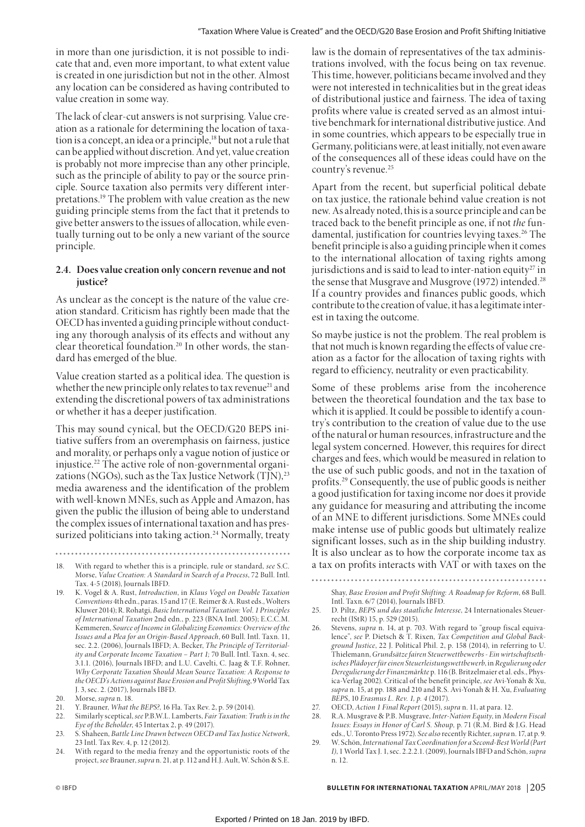in more than one jurisdiction, it is not possible to indicate that and, even more important, to what extent value is created in one jurisdiction but not in the other. Almost any location can be considered as having contributed to value creation in some way.

The lack of clear-cut answers is not surprising. Value creation as a rationale for determining the location of taxation is a concept, an idea or a principle,<sup>18</sup> but not a rule that can be applied without discretion. And yet, value creation is probably not more imprecise than any other principle, such as the principle of ability to pay or the source principle. Source taxation also permits very different interpretations.19 The problem with value creation as the new guiding principle stems from the fact that it pretends to give better answers to the issues of allocation, while eventually turning out to be only a new variant of the source principle.

## **2.4. Does value creation only concern revenue and not justice?**

As unclear as the concept is the nature of the value creation standard. Criticism has rightly been made that the OECD has invented a guiding principle without conducting any thorough analysis of its effects and without any clear theoretical foundation.20 In other words, the standard has emerged of the blue.

Value creation started as a political idea. The question is whether the new principle only relates to tax revenue<sup>21</sup> and extending the discretional powers of tax administrations or whether it has a deeper justification.

This may sound cynical, but the OECD/G20 BEPS initiative suffers from an overemphasis on fairness, justice and morality, or perhaps only a vague notion of justice or injustice.22 The active role of non-governmental organizations (NGOs), such as the Tax Justice Network  $(TJN)^{23}$ media awareness and the identification of the problem with well-known MNEs, such as Apple and Amazon, has given the public the illusion of being able to understand the complex issues of international taxation and has pressurized politicians into taking action.<sup>24</sup> Normally, treaty

- 18. With regard to whether this is a principle, rule or standard, *see* S.C. Morse, *Value Creation: A Standard in Search of a Process*, 72 Bull. Intl. Tax. 4-5 (2018), Journals IBFD.
- 19. K. Vogel & A. Rust, *Introduction*, in *Klaus Vogel on Double Taxation Conventions* 4th edn., paras. 15 and 17 (E. Reimer & A. Rust eds., Wolters Kluwer 2014); R. Rohatgi, *Basic International Taxation: Vol. 1 Principles of International Taxation* 2nd edn., p. 223 (BNA Intl. 2005); E.C.C.M. Kemmeren, *Source of Income in Globalizing Economies: Overview of the Issues and a Plea for an Origin-Based Approach*, 60 Bull. Intl. Taxn. 11, sec. 2.2. (2006), Journals IBFD; A. Becker, *The Principle of Territoriality and Corporate Income Taxation – Part 1;* 70 Bull. Intl. Taxn. 4, sec. 3.1.1. (2016), Journals IBFD; and L.U. Cavelti, C. Jaag & T.F. Rohner, *Why Corporate Taxation Should Mean Source Taxation: A Response to the OECD's Actions against Base Erosion and Profit Shifting*, 9 World Tax J. 3, sec. 2. (2017), Journals IBFD.
- 20. Morse, *supra* n. 18.
- 21. Y. Brauner, *What the BEPS?*, 16 Fla. Tax Rev. 2, p. 59 (2014).
- 22. Similarly sceptical, *see* P.B.W.L. Lamberts, *Fair Taxation: Truth is in the Eye of the Beholder*, 45 Intertax 2, p. 49 (2017).
- 23. S. Shaheen, *Battle Line Drawn between OECD and Tax Justice Network*, 23 Intl. Tax Rev. 4, p. 12 (2012).
- 24. With regard to the media frenzy and the opportunistic roots of the project, *see* Brauner, *supra* n. 21, at p. 112 and H.J. Ault, W. Schön & S.E.

law is the domain of representatives of the tax administrations involved, with the focus being on tax revenue. This time, however, politicians became involved and they were not interested in technicalities but in the great ideas of distributional justice and fairness. The idea of taxing profits where value is created served as an almost intuitive benchmark for international distributive justice. And in some countries, which appears to be especially true in Germany, politicians were, at least initially, not even aware of the consequences all of these ideas could have on the country's revenue.<sup>25</sup>

Apart from the recent, but superficial political debate on tax justice, the rationale behind value creation is not new. As already noted, this is a source principle and can be traced back to the benefit principle as one, if not *the* fundamental, justification for countries levying taxes.<sup>26</sup> The benefit principle is also a guiding principle when it comes to the international allocation of taxing rights among jurisdictions and is said to lead to inter-nation equity<sup>27</sup> in the sense that Musgrave and Musgrove (1972) intended.<sup>28</sup> If a country provides and finances public goods, which contribute to the creation of value, it has a legitimate interest in taxing the outcome.

So maybe justice is not the problem. The real problem is that not much is known regarding the effects of value creation as a factor for the allocation of taxing rights with regard to efficiency, neutrality or even practicability.

Some of these problems arise from the incoherence between the theoretical foundation and the tax base to which it is applied. It could be possible to identify a country's contribution to the creation of value due to the use of the natural or human resources, infrastructure and the legal system concerned. However, this requires for direct charges and fees, which would be measured in relation to the use of such public goods, and not in the taxation of profits.29 Consequently, the use of public goods is neither a good justification for taxing income nor does it provide any guidance for measuring and attributing the income of an MNE to different jurisdictions. Some MNEs could make intense use of public goods but ultimately realize significant losses, such as in the ship building industry. It is also unclear as to how the corporate income tax as a tax on profits interacts with VAT or with taxes on the

- 25. D. Piltz, *BEPS und das staatliche Interesse*, 24 Internationales Steuerrecht (IStR) 15, p. 529 (2015).
- 26. Stevens, *supra* n. 14, at p. 703. With regard to "group fiscal equivalence", *see* P. Dietsch & T. Rixen, *Tax Competition and Global Background Justice*, 22 J. Political Phil. 2, p. 158 (2014), in referring to U. Thielemann, *Grundsätze fairen Steuerwettbewerbs - Ein wirtschaftsethisches Plädoyer für einen Steuerleistungswettbewerb*, in *Regulierung oder Deregulierung der Finanzmärkte* p. 116 (B. Britzelmaier et al. eds., Physica-Verlag 2002). Critical of the benefit principle, *see* Avi-Yonah & Xu, *supra* n. 15, at pp. 188 and 210 and R.S. Avi-Yonah & H. Xu, *Evaluating BEPS*, 10 *Erasmus L. Rev. 1, p. 4* (2017).
- 27. OECD, *Action 1 Final Report* (2015), *supra* n. 11, at para. 12.
- 28. R.A. Musgrave & P.B. Musgrave, *Inter-Nation Equity*, in *Modern Fiscal Issues: Essays in Honor of Carl S. Shoup,* p. 71 (R.M. Bird & J.G. Head eds., U. Toronto Press 1972). *See also* recently Richter, *supra* n. 17, at p. 9.
- 29. W. Schön, *International Tax Coordination for a Second-Best World (Part I)*, 1 World Tax J. 1, sec. 2.2.2.1. (2009), Journals IBFD and Schön, *supra* n. 12.

Shay, *Base Erosion and Profit Shifting: A Roadmap for Reform*, 68 Bull. Intl. Taxn. 6/7 (2014), Journals IBFD.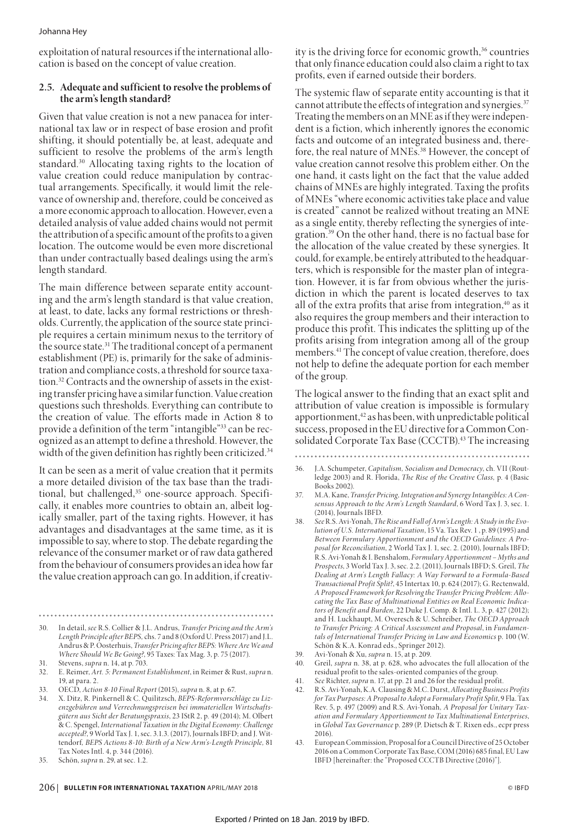exploitation of natural resources if the international allocation is based on the concept of value creation.

## **2.5. Adequate and sufficient to resolve the problems of the arm's length standard?**

Given that value creation is not a new panacea for international tax law or in respect of base erosion and profit shifting, it should potentially be, at least, adequate and sufficient to resolve the problems of the arm's length standard.30 Allocating taxing rights to the location of value creation could reduce manipulation by contractual arrangements. Specifically, it would limit the relevance of ownership and, therefore, could be conceived as a more economic approach to allocation. However, even a detailed analysis of value added chains would not permit the attribution of a specific amount of the profits to a given location. The outcome would be even more discretional than under contractually based dealings using the arm's length standard.

The main difference between separate entity accounting and the arm's length standard is that value creation, at least, to date, lacks any formal restrictions or thresholds. Currently, the application of the source state principle requires a certain minimum nexus to the territory of the source state.31 The traditional concept of a permanent establishment (PE) is, primarily for the sake of administration and compliance costs, a threshold for source taxation.32 Contracts and the ownership of assets in the existing transfer pricing have a similar function. Value creation questions such thresholds. Everything can contribute to the creation of value. The efforts made in Action 8 to provide a definition of the term "intangible"33 can be recognized as an attempt to define a threshold. However, the width of the given definition has rightly been criticized.<sup>34</sup>

It can be seen as a merit of value creation that it permits a more detailed division of the tax base than the traditional, but challenged,<sup>35</sup> one-source approach. Specifically, it enables more countries to obtain an, albeit logically smaller, part of the taxing rights. However, it has advantages and disadvantages at the same time, as it is impossible to say, where to stop. The debate regarding the relevance of the consumer market or of raw data gathered from the behaviour of consumers provides an idea how far the value creation approach can go. In addition, if creativ-

- 30. In detail, *see* R.S. Collier & J.L. Andrus, *Transfer Pricing and the Arm's Length Principle after BEPS,* chs. 7 and 8 (Oxford U. Press 2017) and J.L. Andrus & P. Oosterhuis, *Transfer Pricing after BEPS: Where Are We and Where Should We Be Going?*, 95 Taxes: Tax Mag. 3, p. 75 (2017).
- 31. Stevens, *supra* n. 14, at p. 703.
- 32. E. Reimer, *Art. 5: Permanent Establishment*, in Reimer & Rust, *supra* n. 19, at para. 2.
- 33. OECD, *Action 8-10 Final Report* (2015), *supra* n. 8, at p. 67.
- 34. X. Ditz, R. Pinkernell & C. Quilitzsch, *BEPS-Reformvorschläge zu Lizenzgebühren und Verrechnungspreisen bei immateriellen Wirtschaftsgütern aus Sicht der Beratungspraxis*, 23 IStR 2, p. 49 (2014); M. Olbert & C. Spengel, *International Taxation in the Digital Economy: Challenge accepted?*, 9 World Tax J. 1, sec. 3.1.3. (2017), Journals IBFD; and J. Wittendorf*, BEPS Actions 8-10: Birth of a New Arm's-Length Principle,* 81 Tax Notes Intl. 4, p. 344 (2016).
- 35. Schön, *supra* n. 29, at sec. 1.2.

ity is the driving force for economic growth, $36$  countries that only finance education could also claim a right to tax profits, even if earned outside their borders.

The systemic flaw of separate entity accounting is that it cannot attribute the effects of integration and synergies.<sup>37</sup> Treating the members on an MNE as if they were independent is a fiction, which inherently ignores the economic facts and outcome of an integrated business and, therefore, the real nature of MNEs.38 However, the concept of value creation cannot resolve this problem either. On the one hand, it casts light on the fact that the value added chains of MNEs are highly integrated. Taxing the profits of MNEs "where economic activities take place and value is created" cannot be realized without treating an MNE as a single entity, thereby reflecting the synergies of integration.39 On the other hand, there is no factual base for the allocation of the value created by these synergies. It could, for example, be entirely attributed to the headquarters, which is responsible for the master plan of integration. However, it is far from obvious whether the jurisdiction in which the parent is located deserves to tax all of the extra profits that arise from integration, $40$  as it also requires the group members and their interaction to produce this profit. This indicates the splitting up of the profits arising from integration among all of the group members.<sup>41</sup> The concept of value creation, therefore, does not help to define the adequate portion for each member of the group.

The logical answer to the finding that an exact split and attribution of value creation is impossible is formulary apportionment,<sup>42</sup> as has been, with unpredictable political success, proposed in the EU directive for a Common Consolidated Corporate Tax Base (CCCTB).<sup>43</sup> The increasing

- 36. J.A. Schumpeter, *Capitalism, Socialism and Democracy*, ch. VII (Routledge 2003) and R. Florida, *The Rise of the Creative Class,* p. 4 (Basic Books 2002).
- 37. M.A. Kane, *Transfer Pricing, Integration and Synergy Intangibles: A Consensus Approach to the Arm's Length Standard*, 6 Word Tax J. 3, sec. 1. (2014), Journals IBFD.
- 38. *See* R.S. Avi-Yonah, *The Rise and Fall of Arm's Length: A Study in the Evolution of U.S. International Taxation*, 15 Va. Tax Rev. 1 , p. 89 (1995) and *Between Formulary Apportionment and the OECD Guidelines: A Proposal for Reconciliation*, 2 World Tax J. 1, sec. 2. (2010), Journals IBFD; R.S. Avi-Yonah & I. Benshalom, *Formulary Apportionment – Myths and Prospects*, 3 World Tax J. 3, sec. 2.2. (2011), Journals IBFD; S. Greil, *The Dealing at Arm's Length Fallacy: A Way Forward to a Formula-Based Transactional Profit Split?*, 45 Intertax 10, p. 624 (2017); G. Rectenwald, *A Proposed Framework for Resolving the Transfer Pricing Problem: Allocating the Tax Base of Multinational Entities on Real Economic Indicators of Benefit and Burden*, 22 Duke J. Comp. & Intl. L. 3, p. 427 (2012); and H. Luckhaupt, M. Overesch & U. Schreiber, *The OECD Approach to Transfer Pricing: A Critical Assessment and Proposal*, in *Fundamentals of International Transfer Pricing in Law and Economics* p. 100 (W. Schön & K.A. Konrad eds., Springer 2012).
- 39. Avi-Yonah & Xu, *supra* n. 15, at p. 209.
- 40. Greil, *supra* n. 38, at p. 628, who advocates the full allocation of the residual profit to the sales-oriented companies of the group.
- 41. *See* Richter, *supra* n. 17, at pp. 21 and 26 for the residual profit.
- 42. R.S. Avi-Yonah, K.A. Clausing & M.C. Durst, *Allocating Business Profits for Tax Purposes: A Proposal to Adopt a Formulary Profit Split*, 9 Fla. Tax Rev. 5, p. 497 (2009) and R.S. Avi-Yonah*, A Proposal for Unitary Taxation and Formulary Apportionment to Tax Multinational Enterprises*, in *Global Tax Governance* p. 289 (P. Dietsch & T. Rixen eds., ecpr press 2016).
- 43. European Commission, Proposal for a Council Directive of 25 October 2016 on a Common Corporate Tax Base, COM (2016) 685 final, EU Law IBFD [hereinafter: the "Proposed CCCTB Directive (2016)"].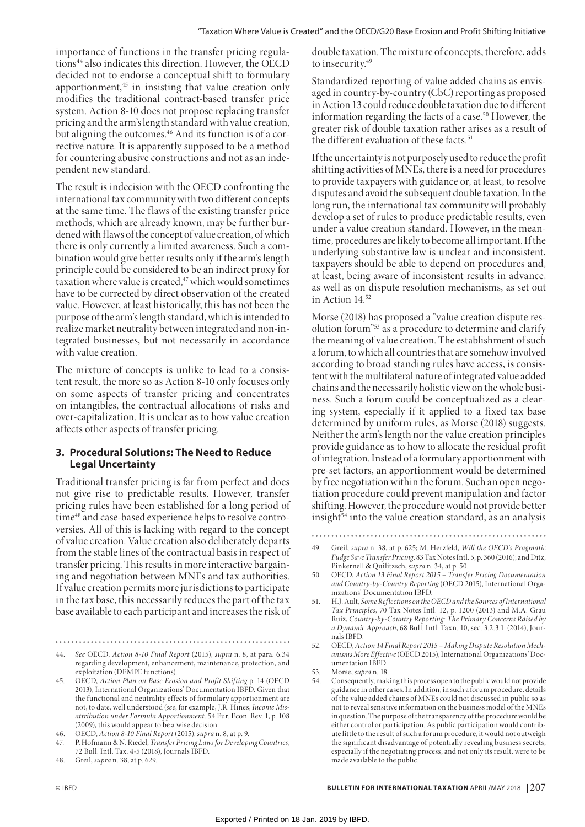importance of functions in the transfer pricing regulations44 also indicates this direction. However, the OECD decided not to endorse a conceptual shift to formulary apportionment,<sup>45</sup> in insisting that value creation only modifies the traditional contract-based transfer price system. Action 8-10 does not propose replacing transfer pricing and the arm's length standard with value creation, but aligning the outcomes.<sup>46</sup> And its function is of a corrective nature. It is apparently supposed to be a method for countering abusive constructions and not as an independent new standard.

The result is indecision with the OECD confronting the international tax community with two different concepts at the same time. The flaws of the existing transfer price methods, which are already known, may be further burdened with flaws of the concept of value creation, of which there is only currently a limited awareness. Such a combination would give better results only if the arm's length principle could be considered to be an indirect proxy for taxation where value is created,<sup>47</sup> which would sometimes have to be corrected by direct observation of the created value. However, at least historically, this has not been the purpose of the arm's length standard, which is intended to realize market neutrality between integrated and non-integrated businesses, but not necessarily in accordance with value creation.

The mixture of concepts is unlike to lead to a consistent result, the more so as Action 8-10 only focuses only on some aspects of transfer pricing and concentrates on intangibles, the contractual allocations of risks and over-capitalization. It is unclear as to how value creation affects other aspects of transfer pricing.

## **3. Procedural Solutions: The Need to Reduce Legal Uncertainty**

Traditional transfer pricing is far from perfect and does not give rise to predictable results. However, transfer pricing rules have been established for a long period of time48 and case-based experience helps to resolve controversies. All of this is lacking with regard to the concept of value creation. Value creation also deliberately departs from the stable lines of the contractual basis in respect of transfer pricing. This results in more interactive bargaining and negotiation between MNEs and tax authorities. If value creation permits more jurisdictions to participate in the tax base, this necessarily reduces the part of the tax base available to each participant and increases the risk of

44. *See* OECD, *Action 8-10 Final Report* (2015), *supra* n. 8, at para. 6.34 regarding development, enhancement, maintenance, protection, and exploitation (DEMPE functions).

double taxation. The mixture of concepts, therefore, adds to insecurity.<sup>49</sup>

Standardized reporting of value added chains as envisaged in country-by-country (CbC) reporting as proposed in Action 13 could reduce double taxation due to different information regarding the facts of a case.<sup>50</sup> However, the greater risk of double taxation rather arises as a result of the different evaluation of these facts.<sup>51</sup>

If the uncertainty is not purposely used to reduce the profit shifting activities of MNEs, there is a need for procedures to provide taxpayers with guidance or, at least, to resolve disputes and avoid the subsequent double taxation. In the long run, the international tax community will probably develop a set of rules to produce predictable results, even under a value creation standard. However, in the meantime, procedures are likely to become all important. If the underlying substantive law is unclear and inconsistent, taxpayers should be able to depend on procedures and, at least, being aware of inconsistent results in advance, as well as on dispute resolution mechanisms, as set out in Action 14.52

Morse (2018) has proposed a "value creation dispute resolution forum"53 as a procedure to determine and clarify the meaning of value creation. The establishment of such a forum, to which all countries that are somehow involved according to broad standing rules have access, is consistent with the multilateral nature of integrated value added chains and the necessarily holistic view on the whole business. Such a forum could be conceptualized as a clearing system, especially if it applied to a fixed tax base determined by uniform rules, as Morse (2018) suggests. Neither the arm's length nor the value creation principles provide guidance as to how to allocate the residual profit of integration. Instead of a formulary apportionment with pre-set factors, an apportionment would be determined by free negotiation within the forum. Such an open negotiation procedure could prevent manipulation and factor shifting. However, the procedure would not provide better insight $54$  into the value creation standard, as an analysis

53. Morse, *supra* n. 18.

<sup>45.</sup> OECD, *Action Plan on Base Erosion and Profit Shifting* p. 14 (OECD 2013), International Organizations' Documentation IBFD. Given that the functional and neutrality effects of formulary apportionment are not, to date, well understood (*see*, for example, J.R. Hines, *Income Misattribution under Formula Apportionment,* 54 Eur. Econ. Rev. 1, p. 108 (2009), this would appear to be a wise decision.

<sup>46.</sup> OECD, *Action 8-10 Final Report* (2015), *supra* n. 8, at p. 9.

<sup>47.</sup> P. Hofmann & N. Riedel, *Transfer Pricing Laws for Developing Countries*, 72 Bull. Intl. Tax. 4-5 (2018), Journals IBFD.

<sup>48.</sup> Greil, *supra* n. 38, at p. 629.

<sup>49.</sup> Greil, *supra* n. 38, at p. 625; M. Herzfeld, *Will the OECD's Pragmatic* 

*Fudge Save Transfer Pricing*, 83 Tax Notes Intl. 5, p. 360 (2016); and Ditz, Pinkernell & Quilitzsch, *supra* n. 34, at p. 50.

<sup>50.</sup> OECD, *Action 13 Final Report 2015 – Transfer Pricing Documentation and Country-by-Country Reporting* (OECD 2015), International Organizations' Documentation IBFD.

<sup>51.</sup> H.J. Ault, *Some Ref lections on the OECD and the Sources of International Tax Principles*, 70 Tax Notes Intl. 12, p. 1200 (2013) and M.A. Grau Ruiz, *Country-by-Country Reporting: The Primary Concerns Raised by a Dynamic Approach*, 68 Bull. Intl. Taxn. 10, sec. 3.2.3.1. (2014), Journals IBFD.

<sup>52.</sup> OECD, *Action 14 Final Report 2015 – Making Dispute Resolution Mechanisms More Effective* (OECD 2015), International Organizations' Documentation IBFD.

<sup>54.</sup> Consequently, making this process open to the public would not provide guidance in other cases. In addition, in such a forum procedure, details of the value added chains of MNEs could not discussed in public so as not to reveal sensitive information on the business model of the MNEs in question. The purpose of the transparency of the procedure would be either control or participation. As public participation would contribute little to the result of such a forum procedure, it would not outweigh the significant disadvantage of potentially revealing business secrets, especially if the negotiating process, and not only its result, were to be made available to the public.